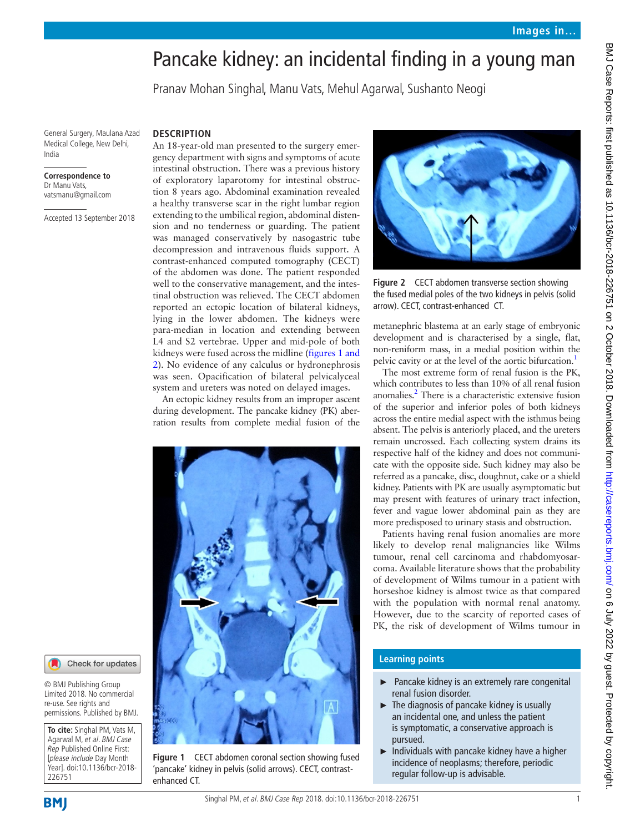# Pancake kidney: an incidental finding in a young man

Pranav Mohan Singhal, Manu Vats, Mehul Agarwal, Sushanto Neogi

General Surgery, Maulana Azad Medical College, New Delhi, India

#### **Correspondence to** Dr Manu Vats, vatsmanu@gmail.com

Accepted 13 September 2018

#### **Description**

An 18-year-old man presented to the surgery emergency department with signs and symptoms of acute intestinal obstruction. There was a previous history of exploratory laparotomy for intestinal obstruction 8 years ago. Abdominal examination revealed a healthy transverse scar in the right lumbar region extending to the umbilical region, abdominal distension and no tenderness or guarding. The patient was managed conservatively by nasogastric tube decompression and intravenous fluids support. A contrast-enhanced computed tomography (CECT) of the abdomen was done. The patient responded well to the conservative management, and the intestinal obstruction was relieved. The CECT abdomen reported an ectopic location of bilateral kidneys, lying in the lower abdomen. The kidneys were para-median in location and extending between L4 and S2 vertebrae. Upper and mid-pole of both kidneys were fused across the midline ([figures](#page-0-0) 1 and [2\)](#page-0-0). No evidence of any calculus or hydronephrosis was seen. Opacification of bilateral pelvicalyceal system and ureters was noted on delayed images.

An ectopic kidney results from an improper ascent during development. The pancake kidney (PK) aberration results from complete medial fusion of the



**Figure 1** CECT abdomen coronal section showing fused 'pancake' kidney in pelvis (solid arrows). CECT, contrastenhanced CT.



**Figure 2** CECT abdomen transverse section showing the fused medial poles of the two kidneys in pelvis (solid arrow). CECT, contrast-enhanced CT.

metanephric blastema at an early stage of embryonic development and is characterised by a single, flat, non-reniform mass, in a medial position within the pelvic cavity or at the level of the aortic bifurcation.<sup>1</sup>

The most extreme form of renal fusion is the PK, which contributes to less than 10% of all renal fusion anomalies.<sup>2</sup> There is a characteristic extensive fusion of the superior and inferior poles of both kidneys across the entire medial aspect with the isthmus being absent. The pelvis is anteriorly placed, and the ureters remain uncrossed. Each collecting system drains its respective half of the kidney and does not communicate with the opposite side. Such kidney may also be referred as a pancake, disc, doughnut, cake or a shield kidney. Patients with PK are usually asymptomatic but may present with features of urinary tract infection, fever and vague lower abdominal pain as they are more predisposed to urinary stasis and obstruction.

Patients having renal fusion anomalies are more likely to develop renal malignancies like Wilms tumour, renal cell carcinoma and rhabdomyosarcoma. Available literature shows that the probability of development of Wilms tumour in a patient with horseshoe kidney is almost twice as that compared with the population with normal renal anatomy. However, due to the scarcity of reported cases of PK, the risk of development of Wilms tumour in

### **Learning points**

- ► Pancake kidney is an extremely rare congenital renal fusion disorder.
- $\blacktriangleright$  The diagnosis of pancake kidney is usually an incidental one, and unless the patient is symptomatic, a conservative approach is pursued.
- $\blacktriangleright$  Individuals with pancake kidney have a higher incidence of neoplasms; therefore, periodic regular follow-up is advisable.

226751

<span id="page-0-0"></span>**To cite:** Singhal PM, Vats M, Agarwal M, et al. BMJ Case Rep Published Online First: [please include Day Month Year]. doi:10.1136/bcr-2018-

Check for updates

© BMJ Publishing Group Limited 2018. No commercial re-use. See rights and permissions. Published by BMJ.